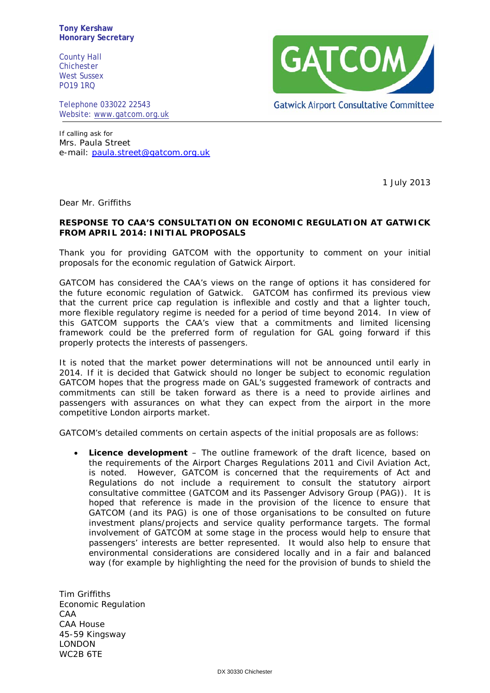**Tony Kershaw Honorary Secretary**

County Hall Chichester West Sussex PO19 1RQ

Telephone 033022 22543 Website: [www.gatcom.org.uk](http://www.gatcom.org.uk/)



If calling ask for Mrs. Paula Street e-mail: [paula.street@gatcom.org.uk](mailto:paula.street@gatcom.org.uk)

1 July 2013

Dear Mr. Griffiths

## **RESPONSE TO CAA'S CONSULTATION ON ECONOMIC REGULATION AT GATWICK FROM APRIL 2014: INITIAL PROPOSALS**

Thank you for providing GATCOM with the opportunity to comment on your initial proposals for the economic regulation of Gatwick Airport.

GATCOM has considered the CAA's views on the range of options it has considered for the future economic regulation of Gatwick. GATCOM has confirmed its previous view that the current price cap regulation is inflexible and costly and that a lighter touch, more flexible regulatory regime is needed for a period of time beyond 2014. In view of this GATCOM supports the CAA's view that a commitments and limited licensing framework could be the preferred form of regulation for GAL going forward if this properly protects the interests of passengers.

It is noted that the market power determinations will not be announced until early in 2014. If it is decided that Gatwick should no longer be subject to economic regulation GATCOM hopes that the progress made on GAL's suggested framework of contracts and commitments can still be taken forward as there is a need to provide airlines and passengers with assurances on what they can expect from the airport in the more competitive London airports market.

GATCOM's detailed comments on certain aspects of the initial proposals are as follows:

• **Licence development** – The outline framework of the draft licence, based on the requirements of the Airport Charges Regulations 2011 and Civil Aviation Act, is noted. However, GATCOM is concerned that the requirements of Act and Regulations do not include a requirement to consult the statutory airport consultative committee (GATCOM and its Passenger Advisory Group (PAG)). It is hoped that reference is made in the provision of the licence to ensure that GATCOM (and its PAG) is one of those organisations to be consulted on future investment plans/projects and service quality performance targets. The formal involvement of GATCOM at some stage in the process would help to ensure that passengers' interests are better represented. It would also help to ensure that environmental considerations are considered locally and in a fair and balanced way (for example by highlighting the need for the provision of bunds to shield the

Tim Griffiths Economic Regulation CAA CAA House 45-59 Kingsway LONDON WC2B 6TE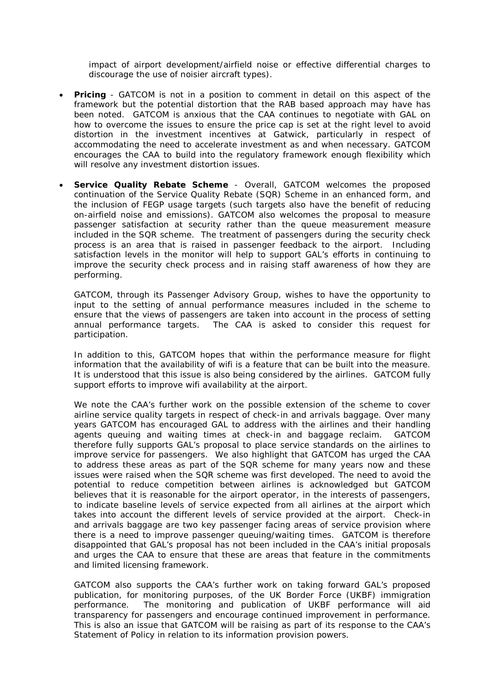impact of airport development/airfield noise or effective differential charges to discourage the use of noisier aircraft types).

- **Pricing** GATCOM is not in a position to comment in detail on this aspect of the framework but the potential distortion that the RAB based approach may have has been noted. GATCOM is anxious that the CAA continues to negotiate with GAL on how to overcome the issues to ensure the price cap is set at the right level to avoid distortion in the investment incentives at Gatwick, particularly in respect of accommodating the need to accelerate investment as and when necessary. GATCOM encourages the CAA to build into the regulatory framework enough flexibility which will resolve any investment distortion issues.
- **Service Quality Rebate Scheme**  Overall, GATCOM welcomes the proposed continuation of the Service Quality Rebate (SQR) Scheme in an enhanced form, and the inclusion of FEGP usage targets (such targets also have the benefit of reducing on-airfield noise and emissions). GATCOM also welcomes the proposal to measure passenger satisfaction at security rather than the queue measurement measure included in the SQR scheme. The treatment of passengers during the security check process is an area that is raised in passenger feedback to the airport. Including satisfaction levels in the monitor will help to support GAL's efforts in continuing to improve the security check process and in raising staff awareness of how they are performing.

GATCOM, through its Passenger Advisory Group, wishes to have the opportunity to input to the setting of annual performance measures included in the scheme to ensure that the views of passengers are taken into account in the process of setting annual performance targets. The CAA is asked to consider this request for participation.

In addition to this, GATCOM hopes that within the performance measure for flight information that the availability of wifi is a feature that can be built into the measure. It is understood that this issue is also being considered by the airlines. GATCOM fully support efforts to improve wifi availability at the airport.

We note the CAA's further work on the possible extension of the scheme to cover airline service quality targets in respect of check-in and arrivals baggage. Over many years GATCOM has encouraged GAL to address with the airlines and their handling agents queuing and waiting times at check-in and baggage reclaim. GATCOM therefore fully supports GAL's proposal to place service standards on the airlines to improve service for passengers. We also highlight that GATCOM has urged the CAA to address these areas as part of the SQR scheme for many years now and these issues were raised when the SQR scheme was first developed. The need to avoid the potential to reduce competition between airlines is acknowledged but GATCOM believes that it is reasonable for the airport operator, in the interests of passengers, to indicate baseline levels of service expected from all airlines at the airport which takes into account the different levels of service provided at the airport. Check-in and arrivals baggage are two key passenger facing areas of service provision where there is a need to improve passenger queuing/waiting times. GATCOM is therefore disappointed that GAL's proposal has not been included in the CAA's initial proposals and urges the CAA to ensure that these are areas that feature in the commitments and limited licensing framework.

GATCOM also supports the CAA's further work on taking forward GAL's proposed publication, for monitoring purposes, of the UK Border Force (UKBF) immigration performance. The monitoring and publication of UKBF performance will aid transparency for passengers and encourage continued improvement in performance. This is also an issue that GATCOM will be raising as part of its response to the CAA's Statement of Policy in relation to its information provision powers.